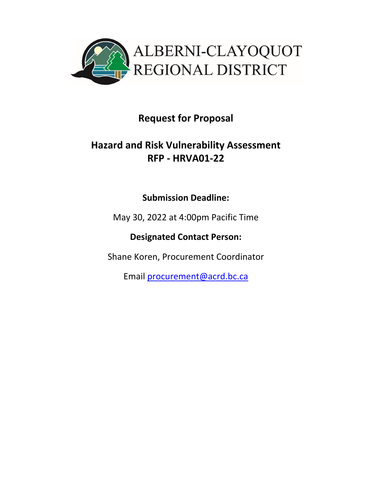

# **Request for Proposal**

# **Hazard and Risk Vulnerability Assessment RFP ‐ HRVA01‐22**

# **Submission Deadline:**

May 30, 2022 at 4:00pm Pacific Time

**Designated Contact Person:** 

Shane Koren, Procurement Coordinator

Email procurement@acrd.bc.ca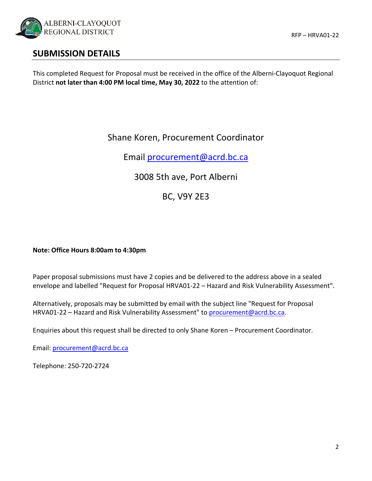

## **SUBMISSION DETAILS**

This completed Request for Proposal must be received in the office of the Alberni‐Clayoquot Regional District **not later than 4:00 PM local time, May 30, 2022** to the attention of:

## Shane Koren, Procurement Coordinator

Email procurement@acrd.bc.ca

3008 5th ave, Port Alberni

BC, V9Y 2E3

#### **Note: Office Hours 8:00am to 4:30pm**

Paper proposal submissions must have 2 copies and be delivered to the address above in a sealed envelope and labelled "Request for Proposal HRVA01‐22 – Hazard and Risk Vulnerability Assessment".

Alternatively, proposals may be submitted by email with the subject line "Request for Proposal HRVA01-22 – Hazard and Risk Vulnerability Assessment" to procurement@acrd.bc.ca.

Enquiries about this request shall be directed to only Shane Koren – Procurement Coordinator.

Email: procurement@acrd.bc.ca

Telephone: 250‐720‐2724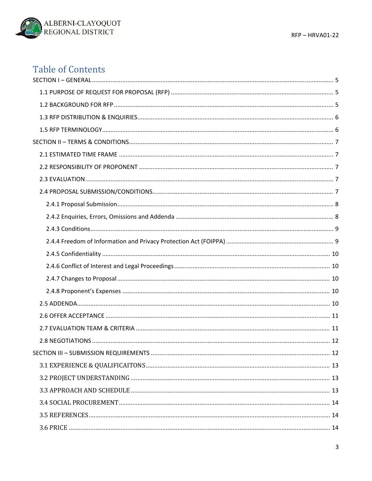

# **Table of Contents**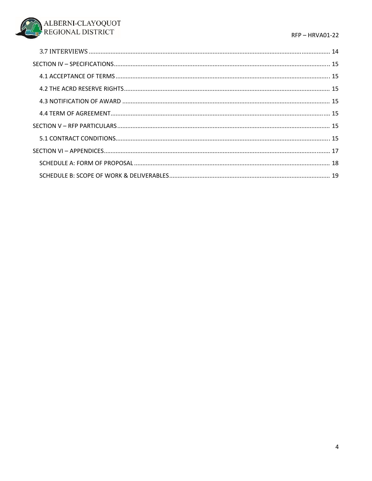#### RFP-HRVA01-22

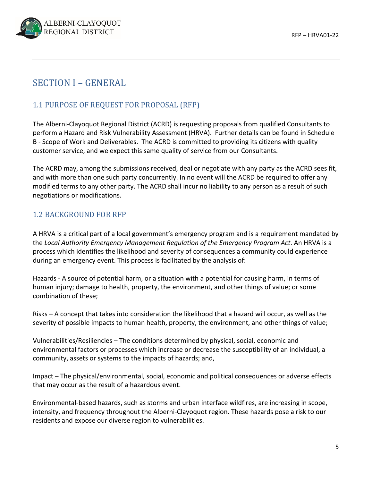

## SECTION I – GENERAL

## 1.1 PURPOSE OF REQUEST FOR PROPOSAL (RFP)

The Alberni‐Clayoquot Regional District (ACRD) is requesting proposals from qualified Consultants to perform a Hazard and Risk Vulnerability Assessment (HRVA). Further details can be found in Schedule B - Scope of Work and Deliverables. The ACRD is committed to providing its citizens with quality customer service, and we expect this same quality of service from our Consultants.

The ACRD may, among the submissions received, deal or negotiate with any party as the ACRD sees fit, and with more than one such party concurrently. In no event will the ACRD be required to offer any modified terms to any other party. The ACRD shall incur no liability to any person as a result of such negotiations or modifications.

## 1.2 BACKGROUND FOR RFP

A HRVA is a critical part of a local government's emergency program and is a requirement mandated by the *Local Authority Emergency Management Regulation of the Emergency Program Act*. An HRVA is a process which identifies the likelihood and severity of consequences a community could experience during an emergency event. This process is facilitated by the analysis of:

Hazards ‐ A source of potential harm, or a situation with a potential for causing harm, in terms of human injury; damage to health, property, the environment, and other things of value; or some combination of these;

Risks – A concept that takes into consideration the likelihood that a hazard will occur, as well as the severity of possible impacts to human health, property, the environment, and other things of value;

Vulnerabilities/Resiliencies – The conditions determined by physical, social, economic and environmental factors or processes which increase or decrease the susceptibility of an individual, a community, assets or systems to the impacts of hazards; and,

Impact – The physical/environmental, social, economic and political consequences or adverse effects that may occur as the result of a hazardous event.

Environmental‐based hazards, such as storms and urban interface wildfires, are increasing in scope, intensity, and frequency throughout the Alberni‐Clayoquot region. These hazards pose a risk to our residents and expose our diverse region to vulnerabilities.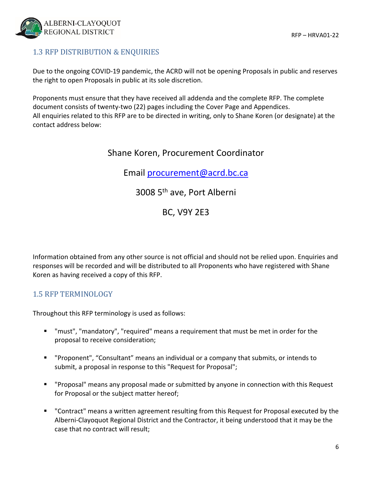

## 1.3 RFP DISTRIBUTION & ENQUIRIES

Due to the ongoing COVID‐19 pandemic, the ACRD will not be opening Proposals in public and reserves the right to open Proposals in public at its sole discretion.

Proponents must ensure that they have received all addenda and the complete RFP. The complete document consists of twenty‐two (22) pages including the Cover Page and Appendices. All enquiries related to this RFP are to be directed in writing, only to Shane Koren (or designate) at the contact address below:

## Shane Koren, Procurement Coordinator

Email procurement@acrd.bc.ca

## 3008 5th ave, Port Alberni

## BC, V9Y 2E3

Information obtained from any other source is not official and should not be relied upon. Enquiries and responses will be recorded and will be distributed to all Proponents who have registered with Shane Koren as having received a copy of this RFP.

## 1.5 RFP TERMINOLOGY

Throughout this RFP terminology is used as follows:

- "must", "mandatory", "required" means a requirement that must be met in order for the proposal to receive consideration;
- "Proponent", "Consultant" means an individual or a company that submits, or intends to submit, a proposal in response to this "Request for Proposal";
- "Proposal" means any proposal made or submitted by anyone in connection with this Request for Proposal or the subject matter hereof;
- "Contract" means a written agreement resulting from this Request for Proposal executed by the Alberni‐Clayoquot Regional District and the Contractor, it being understood that it may be the case that no contract will result;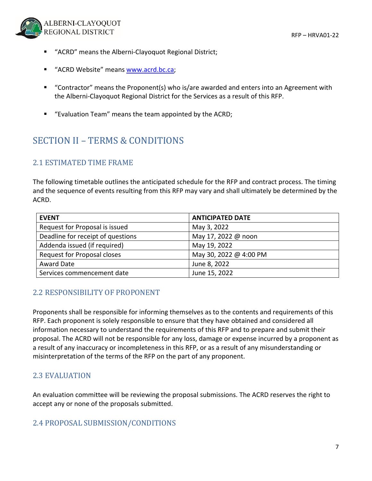

- "ACRD" means the Alberni-Clayoquot Regional District;
- "ACRD Website" means www.acrd.bc.ca;
- "Contractor" means the Proponent(s) who is/are awarded and enters into an Agreement with the Alberni‐Clayoquot Regional District for the Services as a result of this RFP.
- "Evaluation Team" means the team appointed by the ACRD;

## SECTION II – TERMS & CONDITIONS

## 2.1 ESTIMATED TIME FRAME

The following timetable outlines the anticipated schedule for the RFP and contract process. The timing and the sequence of events resulting from this RFP may vary and shall ultimately be determined by the ACRD.

| <b>EVENT</b>                       | <b>ANTICIPATED DATE</b> |
|------------------------------------|-------------------------|
| Request for Proposal is issued     | May 3, 2022             |
| Deadline for receipt of questions  | May 17, 2022 @ noon     |
| Addenda issued (if required)       | May 19, 2022            |
| <b>Request for Proposal closes</b> | May 30, 2022 @ 4:00 PM  |
| Award Date                         | June 8, 2022            |
| Services commencement date         | June 15, 2022           |

## 2.2 RESPONSIBILITY OF PROPONENT

Proponents shall be responsible for informing themselves as to the contents and requirements of this RFP. Each proponent is solely responsible to ensure that they have obtained and considered all information necessary to understand the requirements of this RFP and to prepare and submit their proposal. The ACRD will not be responsible for any loss, damage or expense incurred by a proponent as a result of any inaccuracy or incompleteness in this RFP, or as a result of any misunderstanding or misinterpretation of the terms of the RFP on the part of any proponent.

## 2.3 EVALUATION

An evaluation committee will be reviewing the proposal submissions. The ACRD reserves the right to accept any or none of the proposals submitted.

## 2.4 PROPOSAL SUBMISSION/CONDITIONS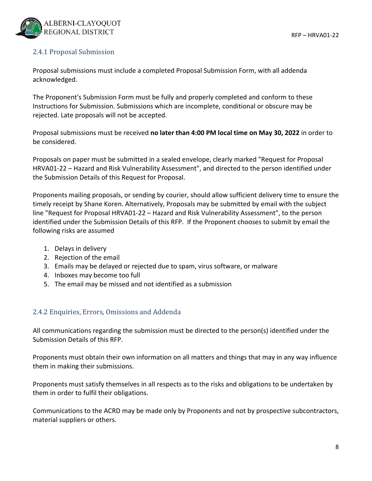

### 2.4.1 Proposal Submission

Proposal submissions must include a completed Proposal Submission Form, with all addenda acknowledged.

The Proponent's Submission Form must be fully and properly completed and conform to these Instructions for Submission. Submissions which are incomplete, conditional or obscure may be rejected. Late proposals will not be accepted.

Proposal submissions must be received **no later than 4:00 PM local time on May 30, 2022** in order to be considered.

Proposals on paper must be submitted in a sealed envelope, clearly marked "Request for Proposal HRVA01‐22 – Hazard and Risk Vulnerability Assessment", and directed to the person identified under the Submission Details of this Request for Proposal.

Proponents mailing proposals, or sending by courier, should allow sufficient delivery time to ensure the timely receipt by Shane Koren. Alternatively, Proposals may be submitted by email with the subject line "Request for Proposal HRVA01‐22 – Hazard and Risk Vulnerability Assessment", to the person identified under the Submission Details of this RFP. If the Proponent chooses to submit by email the following risks are assumed

- 1. Delays in delivery
- 2. Rejection of the email
- 3. Emails may be delayed or rejected due to spam, virus software, or malware
- 4. Inboxes may become too full
- 5. The email may be missed and not identified as a submission

### 2.4.2 Enquiries, Errors, Omissions and Addenda

All communications regarding the submission must be directed to the person(s) identified under the Submission Details of this RFP.

Proponents must obtain their own information on all matters and things that may in any way influence them in making their submissions.

Proponents must satisfy themselves in all respects as to the risks and obligations to be undertaken by them in order to fulfil their obligations.

Communications to the ACRD may be made only by Proponents and not by prospective subcontractors, material suppliers or others.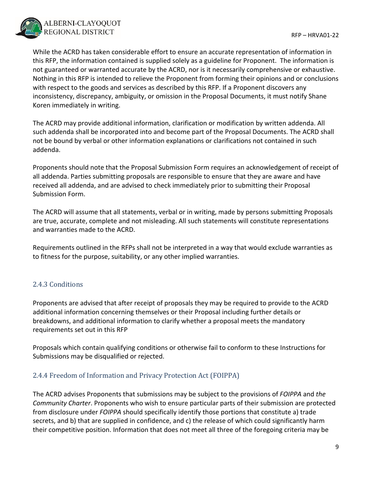While the ACRD has taken considerable effort to ensure an accurate representation of information in this RFP, the information contained is supplied solely as a guideline for Proponent. The information is not guaranteed or warranted accurate by the ACRD, nor is it necessarily comprehensive or exhaustive. Nothing in this RFP is intended to relieve the Proponent from forming their opinions and or conclusions with respect to the goods and services as described by this RFP. If a Proponent discovers any inconsistency, discrepancy, ambiguity, or omission in the Proposal Documents, it must notify Shane Koren immediately in writing.

The ACRD may provide additional information, clarification or modification by written addenda. All such addenda shall be incorporated into and become part of the Proposal Documents. The ACRD shall not be bound by verbal or other information explanations or clarifications not contained in such addenda.

Proponents should note that the Proposal Submission Form requires an acknowledgement of receipt of all addenda. Parties submitting proposals are responsible to ensure that they are aware and have received all addenda, and are advised to check immediately prior to submitting their Proposal Submission Form.

The ACRD will assume that all statements, verbal or in writing, made by persons submitting Proposals are true, accurate, complete and not misleading. All such statements will constitute representations and warranties made to the ACRD.

Requirements outlined in the RFPs shall not be interpreted in a way that would exclude warranties as to fitness for the purpose, suitability, or any other implied warranties.

## 2.4.3 Conditions

Proponents are advised that after receipt of proposals they may be required to provide to the ACRD additional information concerning themselves or their Proposal including further details or breakdowns, and additional information to clarify whether a proposal meets the mandatory requirements set out in this RFP

Proposals which contain qualifying conditions or otherwise fail to conform to these Instructions for Submissions may be disqualified or rejected.

## 2.4.4 Freedom of Information and Privacy Protection Act (FOIPPA)

The ACRD advises Proponents that submissions may be subject to the provisions of *FOIPPA* and *the Community Charter*. Proponents who wish to ensure particular parts of their submission are protected from disclosure under *FOIPPA* should specifically identify those portions that constitute a) trade secrets, and b) that are supplied in confidence, and c) the release of which could significantly harm their competitive position. Information that does not meet all three of the foregoing criteria may be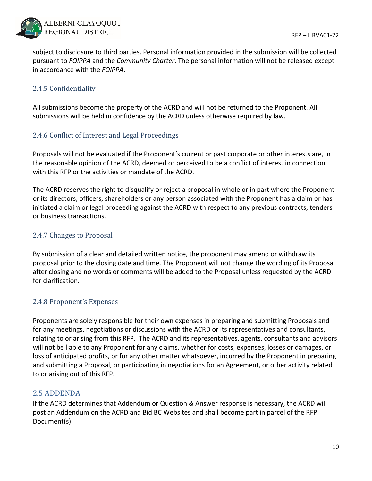

subject to disclosure to third parties. Personal information provided in the submission will be collected pursuant to *FOIPPA* and the *Community Charter*. The personal information will not be released except in accordance with the *FOIPPA*.

### 2.4.5 Confidentiality

All submissions become the property of the ACRD and will not be returned to the Proponent. All submissions will be held in confidence by the ACRD unless otherwise required by law.

### 2.4.6 Conflict of Interest and Legal Proceedings

Proposals will not be evaluated if the Proponent's current or past corporate or other interests are, in the reasonable opinion of the ACRD, deemed or perceived to be a conflict of interest in connection with this RFP or the activities or mandate of the ACRD.

The ACRD reserves the right to disqualify or reject a proposal in whole or in part where the Proponent or its directors, officers, shareholders or any person associated with the Proponent has a claim or has initiated a claim or legal proceeding against the ACRD with respect to any previous contracts, tenders or business transactions.

### 2.4.7 Changes to Proposal

By submission of a clear and detailed written notice, the proponent may amend or withdraw its proposal prior to the closing date and time. The Proponent will not change the wording of its Proposal after closing and no words or comments will be added to the Proposal unless requested by the ACRD for clarification.

### 2.4.8 Proponent's Expenses

Proponents are solely responsible for their own expenses in preparing and submitting Proposals and for any meetings, negotiations or discussions with the ACRD or its representatives and consultants, relating to or arising from this RFP. The ACRD and its representatives, agents, consultants and advisors will not be liable to any Proponent for any claims, whether for costs, expenses, losses or damages, or loss of anticipated profits, or for any other matter whatsoever, incurred by the Proponent in preparing and submitting a Proposal, or participating in negotiations for an Agreement, or other activity related to or arising out of this RFP.

## 2.5 ADDENDA

If the ACRD determines that Addendum or Question & Answer response is necessary, the ACRD will post an Addendum on the ACRD and Bid BC Websites and shall become part in parcel of the RFP Document(s).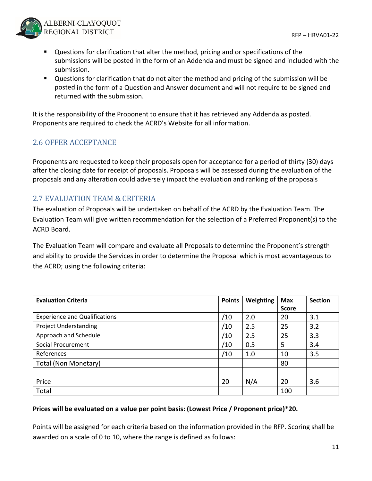

- Questions for clarification that alter the method, pricing and or specifications of the submissions will be posted in the form of an Addenda and must be signed and included with the submission.
- Questions for clarification that do not alter the method and pricing of the submission will be posted in the form of a Question and Answer document and will not require to be signed and returned with the submission.

It is the responsibility of the Proponent to ensure that it has retrieved any Addenda as posted. Proponents are required to check the ACRD's Website for all information.

## 2.6 OFFER ACCEPTANCE

Proponents are requested to keep their proposals open for acceptance for a period of thirty (30) days after the closing date for receipt of proposals. Proposals will be assessed during the evaluation of the proposals and any alteration could adversely impact the evaluation and ranking of the proposals

## 2.7 EVALUATION TEAM & CRITERIA

The evaluation of Proposals will be undertaken on behalf of the ACRD by the Evaluation Team. The Evaluation Team will give written recommendation for the selection of a Preferred Proponent(s) to the ACRD Board.

The Evaluation Team will compare and evaluate all Proposals to determine the Proponent's strength and ability to provide the Services in order to determine the Proposal which is most advantageous to the ACRD; using the following criteria:

| <b>Evaluation Criteria</b>           | <b>Points</b> | Weighting | <b>Max</b>   | <b>Section</b> |
|--------------------------------------|---------------|-----------|--------------|----------------|
|                                      |               |           | <b>Score</b> |                |
| <b>Experience and Qualifications</b> | ′10           | 2.0       | 20           | 3.1            |
| <b>Project Understanding</b>         | /10           | 2.5       | 25           | 3.2            |
| Approach and Schedule                | ′10           | 2.5       | 25           | 3.3            |
| Social Procurement                   | /10           | 0.5       | 5            | 3.4            |
| References                           | ′10           | 1.0       | 10           | 3.5            |
| Total (Non Monetary)                 |               |           | 80           |                |
|                                      |               |           |              |                |
| Price                                | 20            | N/A       | 20           | 3.6            |
| Total                                |               |           | 100          |                |

### **Prices will be evaluated on a value per point basis: (Lowest Price / Proponent price)\*20.**

Points will be assigned for each criteria based on the information provided in the RFP. Scoring shall be awarded on a scale of 0 to 10, where the range is defined as follows: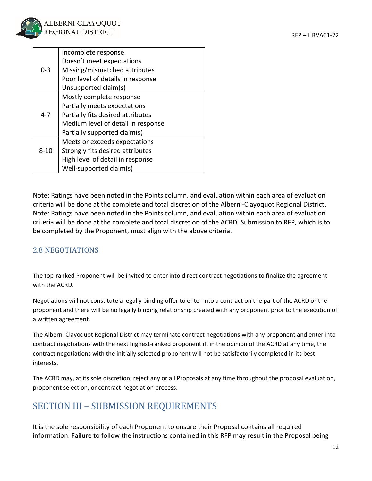

|          | Incomplete response                |  |  |  |  |
|----------|------------------------------------|--|--|--|--|
|          | Doesn't meet expectations          |  |  |  |  |
| $0 - 3$  | Missing/mismatched attributes      |  |  |  |  |
|          | Poor level of details in response  |  |  |  |  |
|          | Unsupported claim(s)               |  |  |  |  |
|          | Mostly complete response           |  |  |  |  |
|          | Partially meets expectations       |  |  |  |  |
| $4 - 7$  | Partially fits desired attributes  |  |  |  |  |
|          | Medium level of detail in response |  |  |  |  |
|          | Partially supported claim(s)       |  |  |  |  |
|          | Meets or exceeds expectations      |  |  |  |  |
| $8 - 10$ | Strongly fits desired attributes   |  |  |  |  |
|          | High level of detail in response   |  |  |  |  |
|          | Well-supported claim(s)            |  |  |  |  |

Note: Ratings have been noted in the Points column, and evaluation within each area of evaluation criteria will be done at the complete and total discretion of the Alberni‐Clayoquot Regional District. Note: Ratings have been noted in the Points column, and evaluation within each area of evaluation criteria will be done at the complete and total discretion of the ACRD. Submission to RFP, which is to be completed by the Proponent, must align with the above criteria.

## 2.8 NEGOTIATIONS

The top-ranked Proponent will be invited to enter into direct contract negotiations to finalize the agreement with the ACRD.

Negotiations will not constitute a legally binding offer to enter into a contract on the part of the ACRD or the proponent and there will be no legally binding relationship created with any proponent prior to the execution of a written agreement.

The Alberni Clayoquot Regional District may terminate contract negotiations with any proponent and enter into contract negotiations with the next highest-ranked proponent if, in the opinion of the ACRD at any time, the contract negotiations with the initially selected proponent will not be satisfactorily completed in its best interests.

The ACRD may, at its sole discretion, reject any or all Proposals at any time throughout the proposal evaluation, proponent selection, or contract negotiation process.

# SECTION III – SUBMISSION REQUIREMENTS

It is the sole responsibility of each Proponent to ensure their Proposal contains all required information. Failure to follow the instructions contained in this RFP may result in the Proposal being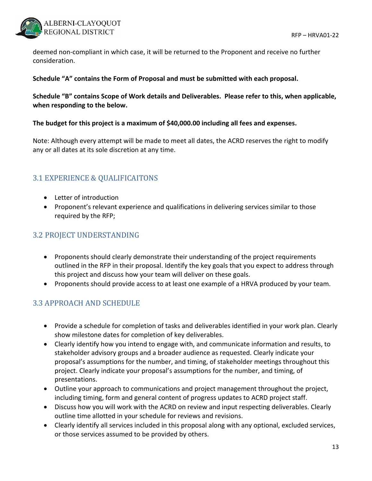

deemed non‐compliant in which case, it will be returned to the Proponent and receive no further consideration.

#### **Schedule "A" contains the Form of Proposal and must be submitted with each proposal.**

**Schedule "B" contains Scope of Work details and Deliverables. Please refer to this, when applicable, when responding to the below.**

#### **The budget for this project is a maximum of \$40,000.00 including all fees and expenses.**

Note: Although every attempt will be made to meet all dates, the ACRD reserves the right to modify any or all dates at its sole discretion at any time.

## 3.1 EXPERIENCE & QUALIFICAITONS

- Letter of introduction
- Proponent's relevant experience and qualifications in delivering services similar to those required by the RFP;

## 3.2 PROJECT UNDERSTANDING

- Proponents should clearly demonstrate their understanding of the project requirements outlined in the RFP in their proposal. Identify the key goals that you expect to address through this project and discuss how your team will deliver on these goals.
- Proponents should provide access to at least one example of a HRVA produced by your team.

## 3.3 APPROACH AND SCHEDULE

- Provide a schedule for completion of tasks and deliverables identified in your work plan. Clearly show milestone dates for completion of key deliverables.
- Clearly identify how you intend to engage with, and communicate information and results, to stakeholder advisory groups and a broader audience as requested. Clearly indicate your proposal's assumptions for the number, and timing, of stakeholder meetings throughout this project. Clearly indicate your proposal's assumptions for the number, and timing, of presentations.
- Outline your approach to communications and project management throughout the project, including timing, form and general content of progress updates to ACRD project staff.
- Discuss how you will work with the ACRD on review and input respecting deliverables. Clearly outline time allotted in your schedule for reviews and revisions.
- Clearly identify all services included in this proposal along with any optional, excluded services, or those services assumed to be provided by others.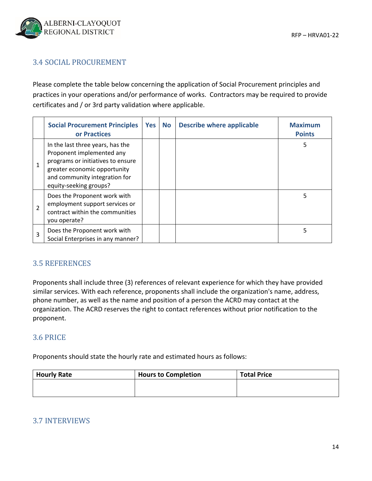## 3.4 SOCIAL PROCUREMENT

Please complete the table below concerning the application of Social Procurement principles and practices in your operations and/or performance of works. Contractors may be required to provide certificates and / or 3rd party validation where applicable.

|                | <b>Social Procurement Principles</b><br>or Practices                                                                                                                                          | Yes | <b>No</b> | <b>Describe where applicable</b> | <b>Maximum</b><br><b>Points</b> |
|----------------|-----------------------------------------------------------------------------------------------------------------------------------------------------------------------------------------------|-----|-----------|----------------------------------|---------------------------------|
| $\mathbf{1}$   | In the last three years, has the<br>Proponent implemented any<br>programs or initiatives to ensure<br>greater economic opportunity<br>and community integration for<br>equity-seeking groups? |     |           |                                  | 5                               |
| $\mathfrak{p}$ | Does the Proponent work with<br>employment support services or<br>contract within the communities<br>you operate?                                                                             |     |           |                                  | 5                               |
| 3              | Does the Proponent work with<br>Social Enterprises in any manner?                                                                                                                             |     |           |                                  | 5                               |

## 3.5 REFERENCES

Proponents shall include three (3) references of relevant experience for which they have provided similar services. With each reference, proponents shall include the organization's name, address, phone number, as well as the name and position of a person the ACRD may contact at the organization. The ACRD reserves the right to contact references without prior notification to the proponent.

### 3.6 PRICE

Proponents should state the hourly rate and estimated hours as follows:

| <b>Hourly Rate</b> | <b>Hours to Completion</b> | <b>Total Price</b> |
|--------------------|----------------------------|--------------------|
|                    |                            |                    |
|                    |                            |                    |

## 3.7 INTERVIEWS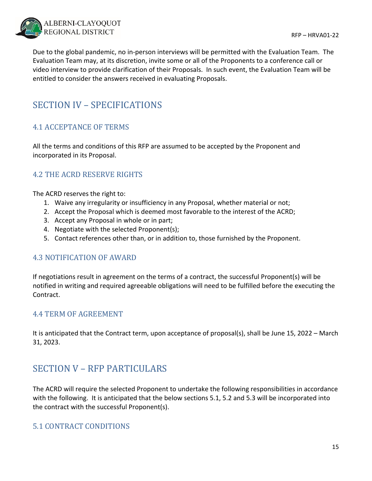

Due to the global pandemic, no in‐person interviews will be permitted with the Evaluation Team. The Evaluation Team may, at its discretion, invite some or all of the Proponents to a conference call or video interview to provide clarification of their Proposals. In such event, the Evaluation Team will be entitled to consider the answers received in evaluating Proposals.

## SECTION IV – SPECIFICATIONS

## 4.1 ACCEPTANCE OF TERMS

All the terms and conditions of this RFP are assumed to be accepted by the Proponent and incorporated in its Proposal.

## 4.2 THE ACRD RESERVE RIGHTS

The ACRD reserves the right to:

- 1. Waive any irregularity or insufficiency in any Proposal, whether material or not;
- 2. Accept the Proposal which is deemed most favorable to the interest of the ACRD;
- 3. Accept any Proposal in whole or in part;
- 4. Negotiate with the selected Proponent(s);
- 5. Contact references other than, or in addition to, those furnished by the Proponent.

## 4.3 NOTIFICATION OF AWARD

If negotiations result in agreement on the terms of a contract, the successful Proponent(s) will be notified in writing and required agreeable obligations will need to be fulfilled before the executing the Contract.

### 4.4 TERM OF AGREEMENT

It is anticipated that the Contract term, upon acceptance of proposal(s), shall be June 15, 2022 – March 31, 2023.

## SECTION V - RFP PARTICULARS

The ACRD will require the selected Proponent to undertake the following responsibilities in accordance with the following. It is anticipated that the below sections 5.1, 5.2 and 5.3 will be incorporated into the contract with the successful Proponent(s).

## 5.1 CONTRACT CONDITIONS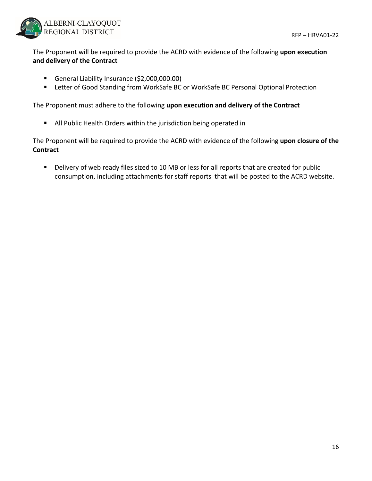

The Proponent will be required to provide the ACRD with evidence of the following **upon execution and delivery of the Contract**

- General Liability Insurance (\$2,000,000.00)
- Letter of Good Standing from WorkSafe BC or WorkSafe BC Personal Optional Protection

The Proponent must adhere to the following **upon execution and delivery of the Contract**

All Public Health Orders within the jurisdiction being operated in

The Proponent will be required to provide the ACRD with evidence of the following **upon closure of the Contract**

Delivery of web ready files sized to 10 MB or less for all reports that are created for public consumption, including attachments for staff reports that will be posted to the ACRD website.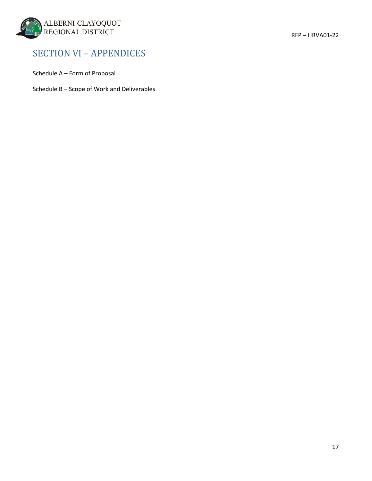

## SECTION VI – APPENDICES

Schedule A – Form of Proposal

Schedule B – Scope of Work and Deliverables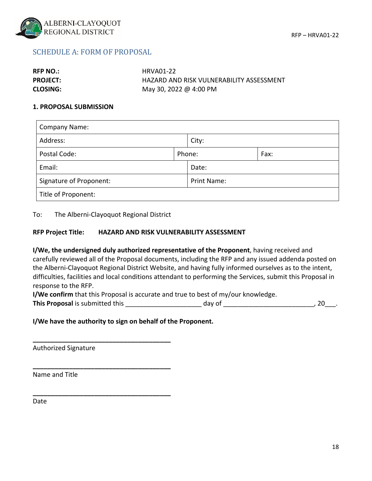

### SCHEDULE A: FORM OF PROPOSAL

| <b>RFP NO.:</b> | HRVA01-22                                |
|-----------------|------------------------------------------|
| <b>PROJECT:</b> | HAZARD AND RISK VULNERABILITY ASSESSMENT |
| <b>CLOSING:</b> | May 30, 2022 @ 4:00 PM                   |

#### **1. PROPOSAL SUBMISSION**

| <b>Company Name:</b>    |  |                |  |  |  |
|-------------------------|--|----------------|--|--|--|
| Address:                |  | City:          |  |  |  |
| Postal Code:            |  | Phone:<br>Fax: |  |  |  |
| Email:                  |  | Date:          |  |  |  |
| Signature of Proponent: |  | Print Name:    |  |  |  |
| Title of Proponent:     |  |                |  |  |  |

To: The Alberni‐Clayoquot Regional District

**\_\_\_\_\_\_\_\_\_\_\_\_\_\_\_\_\_\_\_\_\_\_\_\_\_\_\_\_\_\_\_\_\_\_\_\_\_\_**

**\_\_\_\_\_\_\_\_\_\_\_\_\_\_\_\_\_\_\_\_\_\_\_\_\_\_\_\_\_\_\_\_\_\_\_\_\_\_**

**\_\_\_\_\_\_\_\_\_\_\_\_\_\_\_\_\_\_\_\_\_\_\_\_\_\_\_\_\_\_\_\_\_\_\_\_\_\_**

#### **RFP Project Title: HAZARD AND RISK VULNERABILITY ASSESSMENT**

**I/We, the undersigned duly authorized representative of the Proponent**, having received and carefully reviewed all of the Proposal documents, including the RFP and any issued addenda posted on the Alberni‐Clayoquot Regional District Website, and having fully informed ourselves as to the intent, difficulties, facilities and local conditions attendant to performing the Services, submit this Proposal in response to the RFP.

**I/We confirm** that this Proposal is accurate and true to best of my/our knowledge.

**This Proposal** is submitted this the submitted this the set of the state of the day of the state of the state of the state of the state of the state of the state of the state of the state of the state of the state of the

#### **I/We have the authority to sign on behalf of the Proponent.**

Authorized Signature

Name and Title

Date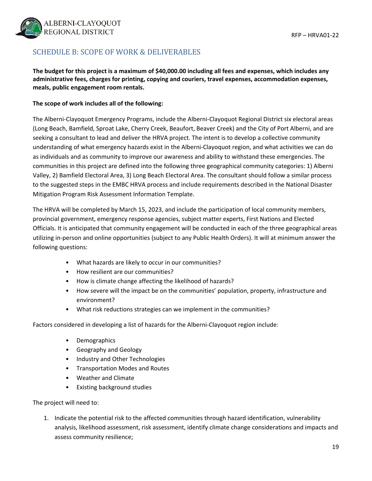

## SCHEDULE B: SCOPE OF WORK & DELIVERABLES

#### The budget for this project is a maximum of \$40,000.00 including all fees and expenses, which includes any **administrative fees, charges for printing, copying and couriers, travel expenses, accommodation expenses, meals, public engagement room rentals.**

#### **The scope of work includes all of the following:**

The Alberni‐Clayoquot Emergency Programs, include the Alberni‐Clayoquot Regional District six electoral areas (Long Beach, Bamfield, Sproat Lake, Cherry Creek, Beaufort, Beaver Creek) and the City of Port Alberni, and are seeking a consultant to lead and deliver the HRVA project. The intent is to develop a collective community understanding of what emergency hazards exist in the Alberni‐Clayoquot region, and what activities we can do as individuals and as community to improve our awareness and ability to withstand these emergencies. The communities in this project are defined into the following three geographical community categories: 1) Alberni Valley, 2) Bamfield Electoral Area, 3) Long Beach Electoral Area. The consultant should follow a similar process to the suggested steps in the EMBC HRVA process and include requirements described in the National Disaster Mitigation Program Risk Assessment Information Template.

The HRVA will be completed by March 15, 2023, and include the participation of local community members, provincial government, emergency response agencies, subject matter experts, First Nations and Elected Officials. It is anticipated that community engagement will be conducted in each of the three geographical areas utilizing in‐person and online opportunities (subject to any Public Health Orders). It will at minimum answer the following questions:

- What hazards are likely to occur in our communities?
- How resilient are our communities?
- How is climate change affecting the likelihood of hazards?
- How severe will the impact be on the communities' population, property, infrastructure and environment?
- What risk reductions strategies can we implement in the communities?

Factors considered in developing a list of hazards for the Alberni‐Clayoquot region include:

- Demographics
- Geography and Geology
- Industry and Other Technologies
- Transportation Modes and Routes
- Weather and Climate
- Existing background studies

The project will need to:

1. Indicate the potential risk to the affected communities through hazard identification, vulnerability analysis, likelihood assessment, risk assessment, identify climate change considerations and impacts and assess community resilience;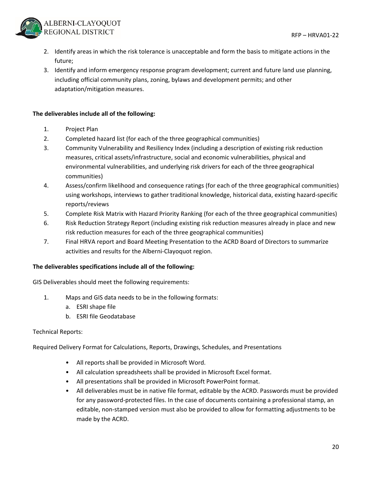

- 2. Identify areas in which the risk tolerance is unacceptable and form the basis to mitigate actions in the future;
- 3. Identify and inform emergency response program development; current and future land use planning, including official community plans, zoning, bylaws and development permits; and other adaptation/mitigation measures.

#### **The deliverables include all of the following:**

- 1. Project Plan
- 2. Completed hazard list (for each of the three geographical communities)
- 3. Community Vulnerability and Resiliency Index (including a description of existing risk reduction measures, critical assets/infrastructure, social and economic vulnerabilities, physical and environmental vulnerabilities, and underlying risk drivers for each of the three geographical communities)
- 4. Assess/confirm likelihood and consequence ratings (for each of the three geographical communities) using workshops, interviews to gather traditional knowledge, historical data, existing hazard‐specific reports/reviews
- 5. Complete Risk Matrix with Hazard Priority Ranking (for each of the three geographical communities)
- 6. Risk Reduction Strategy Report (including existing risk reduction measures already in place and new risk reduction measures for each of the three geographical communities)
- 7. Final HRVA report and Board Meeting Presentation to the ACRD Board of Directors to summarize activities and results for the Alberni‐Clayoquot region.

#### **The deliverables specifications include all of the following:**

GIS Deliverables should meet the following requirements:

- 1. Maps and GIS data needs to be in the following formats:
	- a. ESRI shape file
	- b. ESRI file Geodatabase

#### Technical Reports:

Required Delivery Format for Calculations, Reports, Drawings, Schedules, and Presentations

- All reports shall be provided in Microsoft Word.
- All calculation spreadsheets shall be provided in Microsoft Excel format.
- All presentations shall be provided in Microsoft PowerPoint format.
- All deliverables must be in native file format, editable by the ACRD. Passwords must be provided for any password‐protected files. In the case of documents containing a professional stamp, an editable, non‐stamped version must also be provided to allow for formatting adjustments to be made by the ACRD.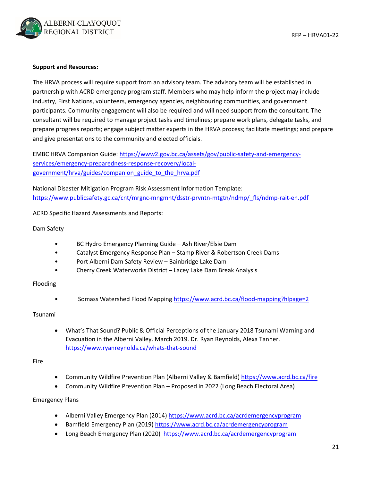

#### **Support and Resources:**

The HRVA process will require support from an advisory team. The advisory team will be established in partnership with ACRD emergency program staff. Members who may help inform the project may include industry, First Nations, volunteers, emergency agencies, neighbouring communities, and government participants. Community engagement will also be required and will need support from the consultant. The consultant will be required to manage project tasks and timelines; prepare work plans, delegate tasks, and prepare progress reports; engage subject matter experts in the HRVA process; facilitate meetings; and prepare and give presentations to the community and elected officials.

EMBC HRVA Companion Guide: https://www2.gov.bc.ca/assets/gov/public-safety-and-emergencyservices/emergency‐preparedness‐response‐recovery/local‐ government/hrva/guides/companion\_guide\_to\_the\_hrva.pdf

National Disaster Mitigation Program Risk Assessment Information Template: https://www.publicsafety.gc.ca/cnt/mrgnc-mngmnt/dsstr-prvntn-mtgtn/ndmp/\_fls/ndmp-rait-en.pdf

ACRD Specific Hazard Assessments and Reports:

Dam Safety

- BC Hydro Emergency Planning Guide Ash River/Elsie Dam
- Catalyst Emergency Response Plan Stamp River & Robertson Creek Dams
- Port Alberni Dam Safety Review Bainbridge Lake Dam
- Cherry Creek Waterworks District Lacey Lake Dam Break Analysis

#### Flooding

• Somass Watershed Flood Mapping https://www.acrd.bc.ca/flood-mapping?hlpage=2

#### Tsunami

 What's That Sound? Public & Official Perceptions of the January 2018 Tsunami Warning and Evacuation in the Alberni Valley. March 2019. Dr. Ryan Reynolds, Alexa Tanner. https://www.ryanreynolds.ca/whats‐that‐sound

Fire

- Community Wildfire Prevention Plan (Alberni Valley & Bamfield) https://www.acrd.bc.ca/fire
- Community Wildfire Prevention Plan Proposed in 2022 (Long Beach Electoral Area)

Emergency Plans

- Alberni Valley Emergency Plan (2014) https://www.acrd.bc.ca/acrdemergencyprogram
- Bamfield Emergency Plan (2019) https://www.acrd.bc.ca/acrdemergencyprogram
- Long Beach Emergency Plan (2020) https://www.acrd.bc.ca/acrdemergencyprogram